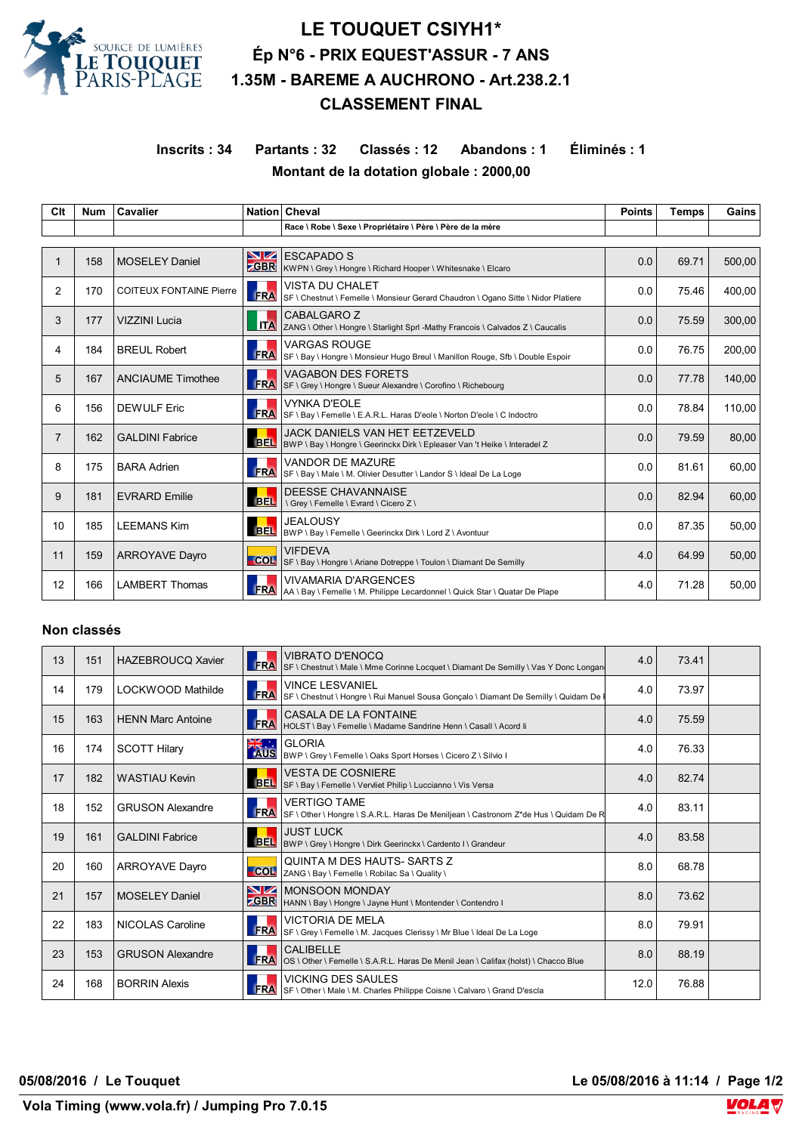

# **LE TOUQUET CSIYH1\* Ép N°6 - PRIX EQUEST'ASSUR - 7 ANS 1.35M - BAREME A AUCHRONO - Art.238.2.1 CLASSEMENT FINAL**

**Inscrits : 34 Partants : 32 Classés : 12 Abandons : 1 Éliminés : 1 Montant de la dotation globale : 2000,00**

| Clt            | <b>Num</b> | <b>Cavalier</b>                |               | Nation Cheval                                                                                                      | <b>Points</b> | <b>Temps</b> | Gains  |
|----------------|------------|--------------------------------|---------------|--------------------------------------------------------------------------------------------------------------------|---------------|--------------|--------|
|                |            |                                |               | Race \ Robe \ Sexe \ Propriétaire \ Père \ Père de la mère                                                         |               |              |        |
|                |            |                                |               |                                                                                                                    |               |              |        |
|                | 158        | <b>MOSELEY Daniel</b>          | NZ<br>$-$ GBR | <b>ESCAPADO S</b><br>KWPN \ Grey \ Hongre \ Richard Hooper \ Whitesnake \ Elcaro                                   | 0.0           | 69.71        | 500,00 |
| 2              | 170        | <b>COITEUX FONTAINE Pierre</b> | FRA           | <b>VISTA DU CHALET</b><br>SF \ Chestnut \ Femelle \ Monsieur Gerard Chaudron \ Ogano Sitte \ Nidor Platiere        | 0.0           | 75.46        | 400.00 |
| 3              | 177        | <b>VIZZINI Lucia</b>           | <b>ITA</b>    | CABALGARO Z<br>ZANG \ Other \ Hongre \ Starlight Sprl -Mathy Francois \ Calvados Z \ Caucalis                      | 0.0           | 75.59        | 300,00 |
| 4              | 184        | <b>BREUL Robert</b>            | <b>FRA</b>    | VARGAS ROUGE<br>SF \ Bay \ Hongre \ Monsieur Hugo Breul \ Manillon Rouge, Sfb \ Double Espoir                      | 0.0           | 76.75        | 200,00 |
| 5              | 167        | <b>ANCIAUME Timothee</b>       | <b>FRA</b>    | <b>VAGABON DES FORETS</b><br>SF \ Grey \ Hongre \ Sueur Alexandre \ Corofino \ Richebourg                          | 0.0           | 77.78        | 140,00 |
| 6              | 156        | <b>DEWULF Eric</b>             | <b>FRA</b>    | VYNKA D'EOLE<br>SF \ Bay \ Femelle \ E.A.R.L. Haras D'eole \ Norton D'eole \ C Indoctro                            | 0.0           | 78.84        | 110,00 |
| $\overline{7}$ | 162        | <b>GALDINI Fabrice</b>         | <b>BEL</b>    | <b>JACK DANIELS VAN HET EETZEVELD</b><br>BWP \ Bay \ Hongre \ Geerinckx Dirk \ Epleaser Van 't Heike \ Interadel Z | 0.0           | 79.59        | 80,00  |
| 8              | 175        | <b>BARA Adrien</b>             | FRA           | <b>VANDOR DE MAZURE</b><br>SF \ Bay \ Male \ M. Olivier Desutter \ Landor S \ Ideal De La Loge                     | 0.0           | 81.61        | 60,00  |
| 9              | 181        | <b>EVRARD Emilie</b>           | <b>BEL</b>    | <b>DEESSE CHAVANNAISE</b><br>\ Grey \ Femelle \ Evrard \ Cicero Z \                                                | 0.0           | 82.94        | 60.00  |
| 10             | 185        | <b>LEEMANS Kim</b>             | <b>BEL</b>    | <b>JEALOUSY</b><br>BWP \ Bay \ Femelle \ Geerinckx Dirk \ Lord Z \ Avontuur                                        | 0.0           | 87.35        | 50,00  |
| 11             | 159        | <b>ARROYAVE Dayro</b>          | COL           | <b>VIFDEVA</b><br>SF \ Bay \ Hongre \ Ariane Dotreppe \ Toulon \ Diamant De Semilly                                | 4.0           | 64.99        | 50.00  |
| 12             | 166        | <b>LAMBERT Thomas</b>          | <b>FRA</b>    | <b>VIVAMARIA D'ARGENCES</b><br>AA \ Bay \ Femelle \ M. Philippe Lecardonnel \ Quick Star \ Quatar De Plape         | 4.0           | 71.28        | 50,00  |

### **Non classés**

| 13 | 151 | <b>HAZEBROUCQ Xavier</b> | <b>FRA</b>        | <b>VIBRATO D'ENOCQ</b><br>SF \ Chestnut \ Male \ Mme Corinne Locquet \ Diamant De Semilly \ Vas Y Donc Longan | 4.0  | 73.41 |  |
|----|-----|--------------------------|-------------------|---------------------------------------------------------------------------------------------------------------|------|-------|--|
| 14 | 179 | LOCKWOOD Mathilde        | FRA               | <b>VINCE LESVANIEL</b><br>SF \ Chestnut \ Hongre \ Rui Manuel Sousa Goncalo \ Diamant De Semilly \ Quidam De  | 4.0  | 73.97 |  |
| 15 | 163 | <b>HENN Marc Antoine</b> | <b>FRA</b>        | CASALA DE LA FONTAINE<br>HOLST \ Bay \ Femelle \ Madame Sandrine Henn \ Casall \ Acord li                     | 4.0  | 75.59 |  |
| 16 | 174 | <b>SCOTT Hilary</b>      | <b>ENSING</b>     | <b>GLORIA</b><br>BWP \ Grey \ Femelle \ Oaks Sport Horses \ Cicero Z \ Silvio I                               | 4.0  | 76.33 |  |
| 17 | 182 | <b>WASTIAU Kevin</b>     | <b>BEL</b>        | VESTA DE COSNIERE<br>SF \ Bay \ Femelle \ Vervliet Philip \ Luccianno \ Vis Versa                             | 4.0  | 82.74 |  |
| 18 | 152 | <b>GRUSON Alexandre</b>  | FRA               | <b>VERTIGO TAME</b><br>SF \ Other \ Hongre \ S.A.R.L. Haras De Meniljean \ Castronom Z*de Hus \ Quidam De R   | 4.0  | 83.11 |  |
| 19 | 161 | <b>GALDINI Fabrice</b>   | <b>BEL</b>        | <b>JUST LUCK</b><br>BWP \ Grey \ Hongre \ Dirk Geerinckx \ Cardento I \ Grandeur                              | 4.0  | 83.58 |  |
| 20 | 160 | <b>ARROYAVE Dayro</b>    | COL               | QUINTA M DES HAUTS-SARTS Z<br>ZANG \ Bay \ Femelle \ Robilac Sa \ Quality \                                   | 8.0  | 68.78 |  |
| 21 | 157 | <b>MOSELEY Daniel</b>    | NZ.<br><b>GBR</b> | <b>IMONSOON MONDAY</b><br>HANN \ Bay \ Hongre \ Jayne Hunt \ Montender \ Contendro I                          | 8.0  | 73.62 |  |
| 22 | 183 | NICOLAS Caroline         | <b>FRA</b>        | <b>VICTORIA DE MELA</b><br>SF \ Grey \ Femelle \ M. Jacques Clerissy \ Mr Blue \ Ideal De La Loge             | 8.0  | 79.91 |  |
| 23 | 153 | <b>GRUSON Alexandre</b>  | <b>FRA</b>        | CALIBELLE<br>OS \ Other \ Femelle \ S.A.R.L. Haras De Menil Jean \ Califax (holst) \ Chacco Blue              | 8.0  | 88.19 |  |
| 24 | 168 | <b>BORRIN Alexis</b>     | <b>FRA</b>        | <b>VICKING DES SAULES</b><br>SF \ Other \ Male \ M. Charles Philippe Coisne \ Calvaro \ Grand D'escla         | 12.0 | 76.88 |  |

**05/08/2016 / Le Touquet Le 05/08/2016 à 11:14 / Page 1/2**